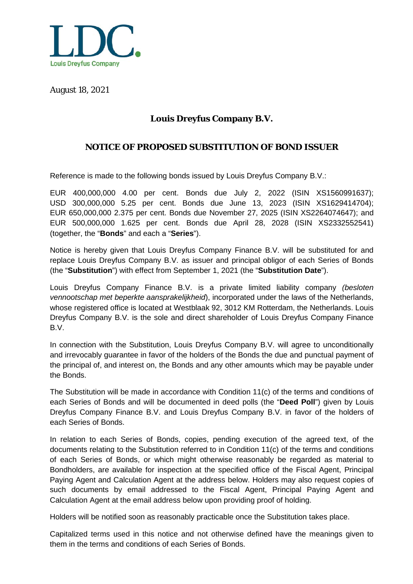

August 18, 2021

## **Louis Dreyfus Company B.V.**

## **NOTICE OF PROPOSED SUBSTITUTION OF BOND ISSUER**

Reference is made to the following bonds issued by Louis Dreyfus Company B.V.:

EUR 400,000,000 4.00 per cent. Bonds due July 2, 2022 (ISIN XS1560991637); USD 300,000,000 5.25 per cent. Bonds due June 13, 2023 (ISIN XS1629414704); EUR 650,000,000 2.375 per cent. Bonds due November 27, 2025 (ISIN XS2264074647); and EUR 500,000,000 1.625 per cent. Bonds due April 28, 2028 (ISIN XS2332552541) (together, the "**Bonds**" and each a "**Series**").

Notice is hereby given that Louis Dreyfus Company Finance B.V. will be substituted for and replace Louis Dreyfus Company B.V. as issuer and principal obligor of each Series of Bonds (the "**Substitution**") with effect from September 1, 2021 (the "**Substitution Date**").

Louis Dreyfus Company Finance B.V. is a private limited liability company *(besloten vennootschap met beperkte aansprakelijkheid*), incorporated under the laws of the Netherlands, whose registered office is located at Westblaak 92, 3012 KM Rotterdam, the Netherlands. Louis Dreyfus Company B.V. is the sole and direct shareholder of Louis Dreyfus Company Finance B.V.

In connection with the Substitution, Louis Dreyfus Company B.V. will agree to unconditionally and irrevocably guarantee in favor of the holders of the Bonds the due and punctual payment of the principal of, and interest on, the Bonds and any other amounts which may be payable under the Bonds.

The Substitution will be made in accordance with Condition 11(c) of the terms and conditions of each Series of Bonds and will be documented in deed polls (the "**Deed Poll**") given by Louis Dreyfus Company Finance B.V. and Louis Dreyfus Company B.V. in favor of the holders of each Series of Bonds.

In relation to each Series of Bonds, copies, pending execution of the agreed text, of the documents relating to the Substitution referred to in Condition 11(c) of the terms and conditions of each Series of Bonds, or which might otherwise reasonably be regarded as material to Bondholders, are available for inspection at the specified office of the Fiscal Agent, Principal Paying Agent and Calculation Agent at the address below. Holders may also request copies of such documents by email addressed to the Fiscal Agent, Principal Paying Agent and Calculation Agent at the email address below upon providing proof of holding.

Holders will be notified soon as reasonably practicable once the Substitution takes place.

Capitalized terms used in this notice and not otherwise defined have the meanings given to them in the terms and conditions of each Series of Bonds.